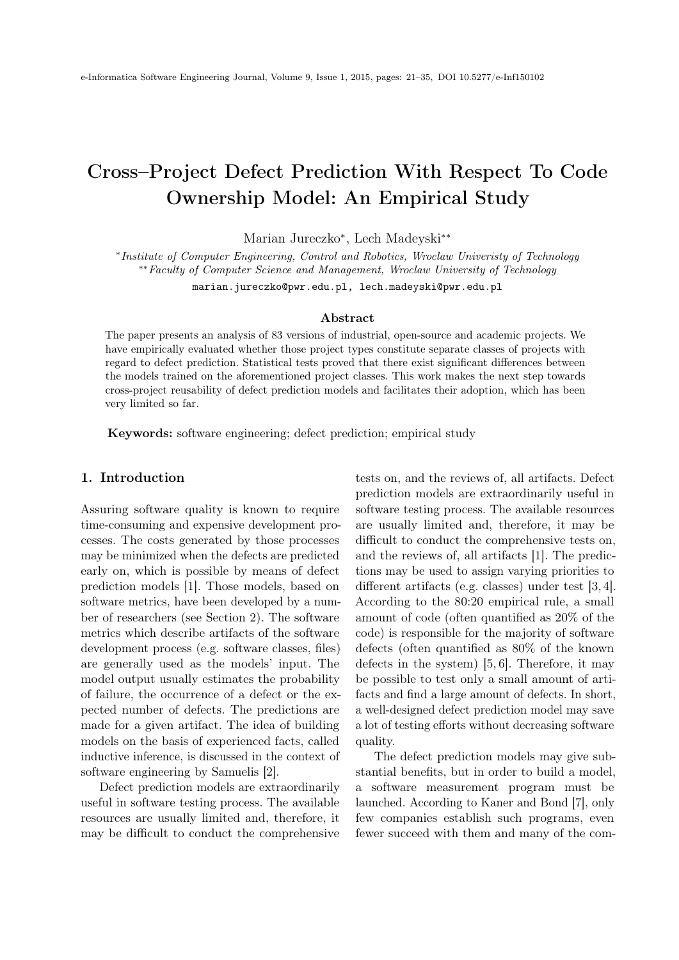# <span id="page-0-0"></span>Cross–Project Defect Prediction With Respect To Code Ownership Model: An Empirical Study

Marian Jureczko<sup>∗</sup> , Lech Madeyski∗∗

∗ Institute of Computer Engineering, Control and Robotics, Wroclaw Univeristy of Technology ∗∗Faculty of Computer Science and Management, Wroclaw University of Technology

marian.jureczko@pwr.edu.pl, lech.madeyski@pwr.edu.pl

## Abstract

The paper presents an analysis of 83 versions of industrial, open-source and academic projects. We have empirically evaluated whether those project types constitute separate classes of projects with regard to defect prediction. Statistical tests proved that there exist significant differences between the models trained on the aforementioned project classes. This work makes the next step towards cross-project reusability of defect prediction models and facilitates their adoption, which has been very limited so far.

Keywords: software engineering; defect prediction; empirical study

## 1. Introduction

Assuring software quality is known to require time-consuming and expensive development processes. The costs generated by those processes may be minimized when the defects are predicted early on, which is possible by means of defect prediction models [\[1\]](#page-12-0). Those models, based on software metrics, have been developed by a number of researchers (see Section 2). The software metrics which describe artifacts of the software development process (e.g. software classes, files) are generally used as the models' input. The model output usually estimates the probability of failure, the occurrence of a defect or the expected number of defects. The predictions are made for a given artifact. The idea of building models on the basis of experienced facts, called inductive inference, is discussed in the context of software engineering by Samuelis [\[2\]](#page-12-1).

Defect prediction models are extraordinarily useful in software testing process. The available resources are usually limited and, therefore, it may be difficult to conduct the comprehensive tests on, and the reviews of, all artifacts. Defect prediction models are extraordinarily useful in software testing process. The available resources are usually limited and, therefore, it may be difficult to conduct the comprehensive tests on, and the reviews of, all artifacts [\[1\]](#page-12-0). The predictions may be used to assign varying priorities to different artifacts (e.g. classes) under test [\[3,](#page-12-2) [4\]](#page-12-3). According to the 80:20 empirical rule, a small amount of code (often quantified as 20% of the code) is responsible for the majority of software defects (often quantified as 80% of the known defects in the system) [\[5,](#page-12-4) [6\]](#page-12-5). Therefore, it may be possible to test only a small amount of artifacts and find a large amount of defects. In short, a well-designed defect prediction model may save a lot of testing efforts without decreasing software quality.

The defect prediction models may give substantial benefits, but in order to build a model, a software measurement program must be launched. According to Kaner and Bond [\[7\]](#page-12-6), only few companies establish such programs, even fewer succeed with them and many of the com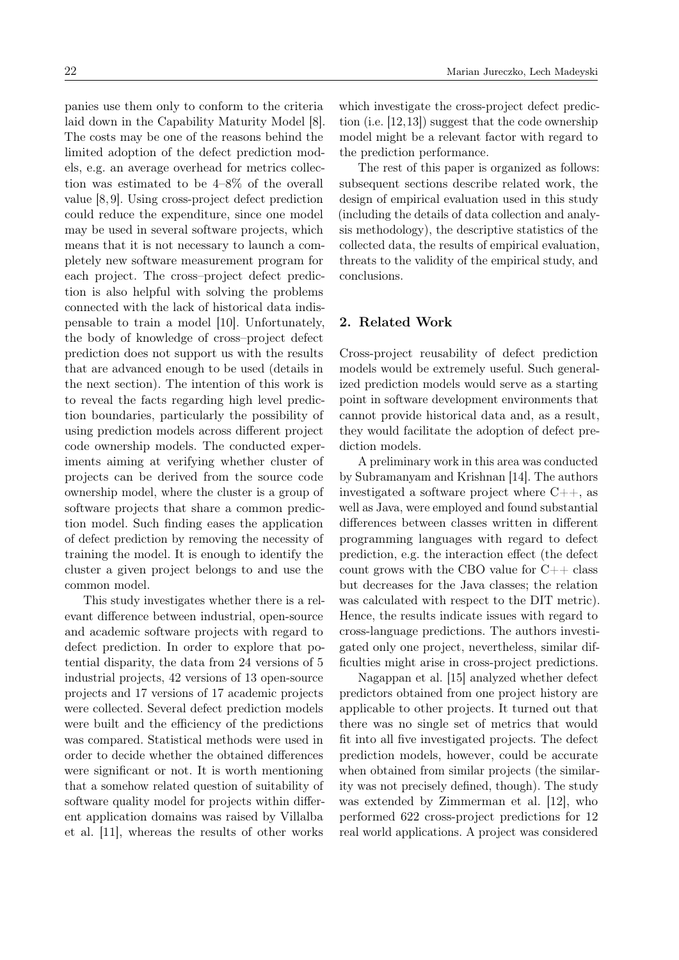panies use them only to conform to the criteria laid down in the Capability Maturity Model [\[8\]](#page-12-7). The costs may be one of the reasons behind the limited adoption of the defect prediction models, e.g. an average overhead for metrics collection was estimated to be 4–8% of the overall value [\[8,](#page-12-7) [9\]](#page-12-8). Using cross-project defect prediction could reduce the expenditure, since one model may be used in several software projects, which means that it is not necessary to launch a completely new software measurement program for each project. The cross–project defect prediction is also helpful with solving the problems connected with the lack of historical data indispensable to train a model [\[10\]](#page-12-9). Unfortunately, the body of knowledge of cross–project defect prediction does not support us with the results that are advanced enough to be used (details in the next section). The intention of this work is to reveal the facts regarding high level prediction boundaries, particularly the possibility of using prediction models across different project code ownership models. The conducted experiments aiming at verifying whether cluster of projects can be derived from the source code ownership model, where the cluster is a group of software projects that share a common prediction model. Such finding eases the application of defect prediction by removing the necessity of training the model. It is enough to identify the cluster a given project belongs to and use the common model.

This study investigates whether there is a relevant difference between industrial, open-source and academic software projects with regard to defect prediction. In order to explore that potential disparity, the data from 24 versions of 5 industrial projects, 42 versions of 13 open-source projects and 17 versions of 17 academic projects were collected. Several defect prediction models were built and the efficiency of the predictions was compared. Statistical methods were used in order to decide whether the obtained differences were significant or not. It is worth mentioning that a somehow related question of suitability of software quality model for projects within different application domains was raised by Villalba et al. [\[11\]](#page-12-10), whereas the results of other works

which investigate the cross-project defect prediction (i.e. [\[12,](#page-12-11)[13\]](#page-12-12)) suggest that the code ownership model might be a relevant factor with regard to the prediction performance.

The rest of this paper is organized as follows: subsequent sections describe related work, the design of empirical evaluation used in this study (including the details of data collection and analysis methodology), the descriptive statistics of the collected data, the results of empirical evaluation, threats to the validity of the empirical study, and conclusions.

# 2. Related Work

Cross-project reusability of defect prediction models would be extremely useful. Such generalized prediction models would serve as a starting point in software development environments that cannot provide historical data and, as a result, they would facilitate the adoption of defect prediction models.

A preliminary work in this area was conducted by Subramanyam and Krishnan [\[14\]](#page-12-13). The authors investigated a software project where C++, as well as Java, were employed and found substantial differences between classes written in different programming languages with regard to defect prediction, e.g. the interaction effect (the defect count grows with the CBO value for  $C++$  class but decreases for the Java classes; the relation was calculated with respect to the DIT metric). Hence, the results indicate issues with regard to cross-language predictions. The authors investigated only one project, nevertheless, similar difficulties might arise in cross-project predictions.

Nagappan et al. [\[15\]](#page-12-14) analyzed whether defect predictors obtained from one project history are applicable to other projects. It turned out that there was no single set of metrics that would fit into all five investigated projects. The defect prediction models, however, could be accurate when obtained from similar projects (the similarity was not precisely defined, though). The study was extended by Zimmerman et al. [\[12\]](#page-12-11), who performed 622 cross-project predictions for 12 real world applications. A project was considered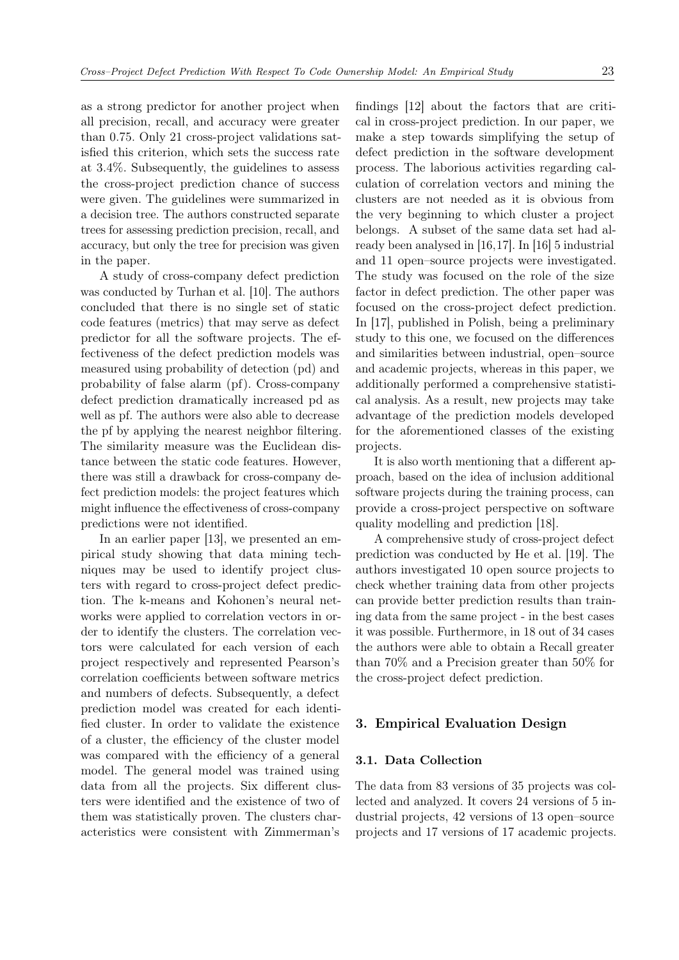as a strong predictor for another project when all precision, recall, and accuracy were greater than 0.75. Only 21 cross-project validations satisfied this criterion, which sets the success rate at 3.4%. Subsequently, the guidelines to assess the cross-project prediction chance of success were given. The guidelines were summarized in a decision tree. The authors constructed separate trees for assessing prediction precision, recall, and accuracy, but only the tree for precision was given in the paper.

A study of cross-company defect prediction was conducted by Turhan et al. [\[10\]](#page-12-9). The authors concluded that there is no single set of static code features (metrics) that may serve as defect predictor for all the software projects. The effectiveness of the defect prediction models was measured using probability of detection (pd) and probability of false alarm (pf). Cross-company defect prediction dramatically increased pd as well as pf. The authors were also able to decrease the pf by applying the nearest neighbor filtering. The similarity measure was the Euclidean distance between the static code features. However, there was still a drawback for cross-company defect prediction models: the project features which might influence the effectiveness of cross-company predictions were not identified.

In an earlier paper [\[13\]](#page-12-12), we presented an empirical study showing that data mining techniques may be used to identify project clusters with regard to cross-project defect prediction. The k-means and Kohonen's neural networks were applied to correlation vectors in order to identify the clusters. The correlation vectors were calculated for each version of each project respectively and represented Pearson's correlation coefficients between software metrics and numbers of defects. Subsequently, a defect prediction model was created for each identified cluster. In order to validate the existence of a cluster, the efficiency of the cluster model was compared with the efficiency of a general model. The general model was trained using data from all the projects. Six different clusters were identified and the existence of two of them was statistically proven. The clusters characteristics were consistent with Zimmerman's

findings [\[12\]](#page-12-11) about the factors that are critical in cross-project prediction. In our paper, we make a step towards simplifying the setup of defect prediction in the software development process. The laborious activities regarding calculation of correlation vectors and mining the clusters are not needed as it is obvious from the very beginning to which cluster a project belongs. A subset of the same data set had already been analysed in [\[16,](#page-12-15)[17\]](#page-13-0). In [\[16\]](#page-12-15) 5 industrial and 11 open–source projects were investigated. The study was focused on the role of the size factor in defect prediction. The other paper was focused on the cross-project defect prediction. In [\[17\]](#page-13-0), published in Polish, being a preliminary study to this one, we focused on the differences and similarities between industrial, open–source and academic projects, whereas in this paper, we additionally performed a comprehensive statistical analysis. As a result, new projects may take advantage of the prediction models developed for the aforementioned classes of the existing projects.

It is also worth mentioning that a different approach, based on the idea of inclusion additional software projects during the training process, can provide a cross-project perspective on software quality modelling and prediction [\[18\]](#page-13-1).

A comprehensive study of cross-project defect prediction was conducted by He et al. [\[19\]](#page-13-2). The authors investigated 10 open source projects to check whether training data from other projects can provide better prediction results than training data from the same project - in the best cases it was possible. Furthermore, in 18 out of 34 cases the authors were able to obtain a Recall greater than 70% and a Precision greater than 50% for the cross-project defect prediction.

## 3. Empirical Evaluation Design

## 3.1. Data Collection

The data from 83 versions of 35 projects was collected and analyzed. It covers 24 versions of 5 industrial projects, 42 versions of 13 open–source projects and 17 versions of 17 academic projects.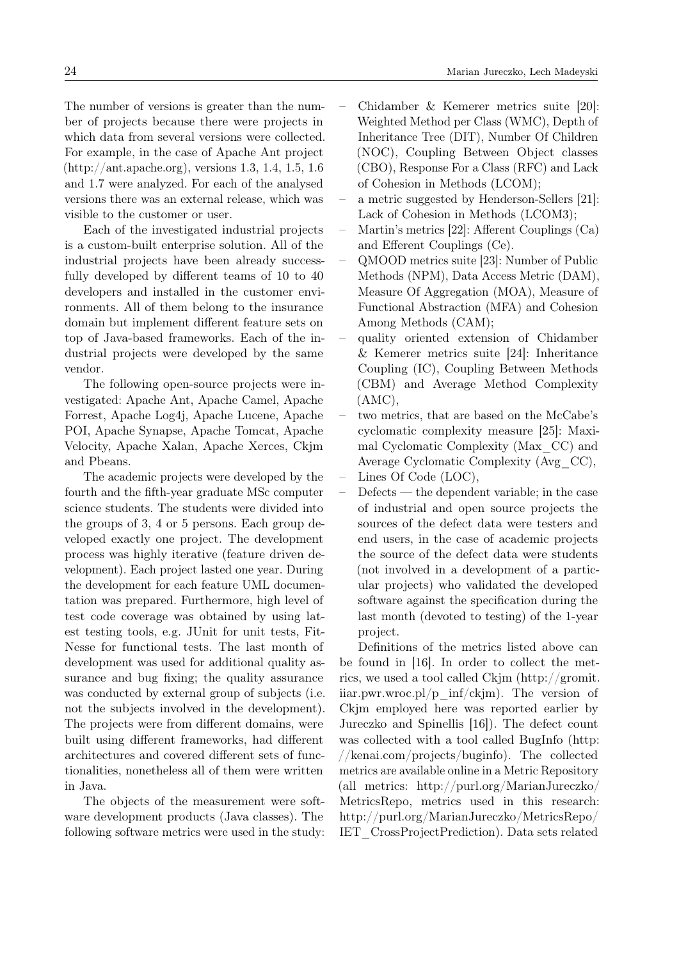The number of versions is greater than the number of projects because there were projects in which data from several versions were collected. For example, in the case of Apache Ant project [\(http://ant.apache.org\)](http://ant.apache.org), versions 1.3, 1.4, 1.5, 1.6 and 1.7 were analyzed. For each of the analysed versions there was an external release, which was visible to the customer or user.

Each of the investigated industrial projects is a custom-built enterprise solution. All of the industrial projects have been already successfully developed by different teams of 10 to 40 developers and installed in the customer environments. All of them belong to the insurance domain but implement different feature sets on top of Java-based frameworks. Each of the industrial projects were developed by the same vendor.

The following open-source projects were investigated: Apache Ant, Apache Camel, Apache Forrest, Apache Log4j, Apache Lucene, Apache POI, Apache Synapse, Apache Tomcat, Apache Velocity, Apache Xalan, Apache Xerces, Ckjm and Pbeans.

The academic projects were developed by the fourth and the fifth-year graduate MSc computer science students. The students were divided into the groups of 3, 4 or 5 persons. Each group developed exactly one project. The development process was highly iterative (feature driven development). Each project lasted one year. During the development for each feature UML documentation was prepared. Furthermore, high level of test code coverage was obtained by using latest testing tools, e.g. JUnit for unit tests, Fit-Nesse for functional tests. The last month of development was used for additional quality assurance and bug fixing; the quality assurance was conducted by external group of subjects (i.e. not the subjects involved in the development). The projects were from different domains, were built using different frameworks, had different architectures and covered different sets of functionalities, nonetheless all of them were written in Java.

The objects of the measurement were software development products (Java classes). The following software metrics were used in the study:

- Chidamber & Kemerer metrics suite [\[20\]](#page-13-3): Weighted Method per Class (WMC), Depth of Inheritance Tree (DIT), Number Of Children (NOC), Coupling Between Object classes (CBO), Response For a Class (RFC) and Lack of Cohesion in Methods (LCOM);
- a metric suggested by Henderson-Sellers [\[21\]](#page-13-4): Lack of Cohesion in Methods (LCOM3);
- Martin's metrics [\[22\]](#page-13-5): Afferent Couplings (Ca) and Efferent Couplings (Ce).
- QMOOD metrics suite [\[23\]](#page-13-6): Number of Public Methods (NPM), Data Access Metric (DAM), Measure Of Aggregation (MOA), Measure of Functional Abstraction (MFA) and Cohesion Among Methods (CAM);
- quality oriented extension of Chidamber & Kemerer metrics suite [\[24\]](#page-13-7): Inheritance Coupling (IC), Coupling Between Methods (CBM) and Average Method Complexity (AMC),
- two metrics, that are based on the McCabe's cyclomatic complexity measure [\[25\]](#page-13-8): Maximal Cyclomatic Complexity (Max\_CC) and Average Cyclomatic Complexity (Avg\_CC),
- Lines Of Code (LOC),
- Defects the dependent variable; in the case of industrial and open source projects the sources of the defect data were testers and end users, in the case of academic projects the source of the defect data were students (not involved in a development of a particular projects) who validated the developed software against the specification during the last month (devoted to testing) of the 1-year project.

Definitions of the metrics listed above can be found in [\[16\]](#page-12-15). In order to collect the metrics, we used a tool called Ckjm [\(http://gromit.](http://gromit.iiar.pwr.wroc.pl/p_inf/ckjm) iiar.pwr.wroc.pl/p inf/ckim). The version of Ckjm employed here was reported earlier by Jureczko and Spinellis [\[16\]](#page-12-15)). The defect count was collected with a tool called BugInfo [\(http:](http://kenai.com/projects/buginfo) [//kenai.com/projects/buginfo\)](http://kenai.com/projects/buginfo). The collected metrics are available online in a Metric Repository (all metrics: [http://purl.org/MarianJureczko/](http://purl.org/MarianJureczko/MetricsRepo) [MetricsRepo,](http://purl.org/MarianJureczko/MetricsRepo) metrics used in this research: [http://purl.org/MarianJureczko/MetricsRepo/](http://purl.org/MarianJureczko/MetricsRepo/IET_CrossProjectPrediction) [IET\\_CrossProjectPrediction\)](http://purl.org/MarianJureczko/MetricsRepo/IET_CrossProjectPrediction). Data sets related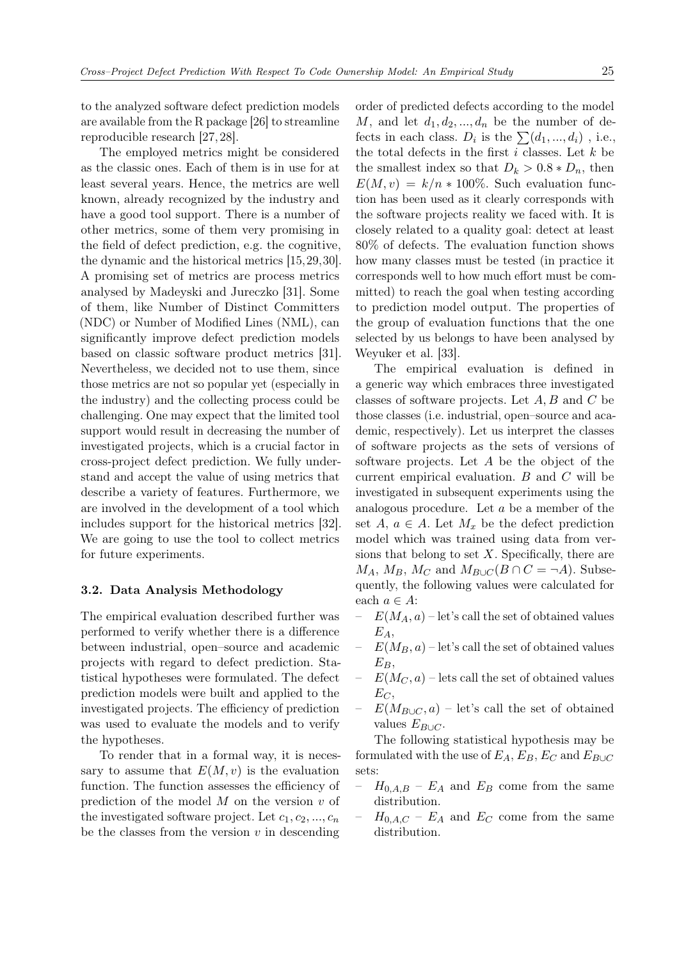to the analyzed software defect prediction models are available from the R package [\[26\]](#page-13-9) to streamline reproducible research [\[27,](#page-13-10) [28\]](#page-13-11).

The employed metrics might be considered as the classic ones. Each of them is in use for at least several years. Hence, the metrics are well known, already recognized by the industry and have a good tool support. There is a number of other metrics, some of them very promising in the field of defect prediction, e.g. the cognitive, the dynamic and the historical metrics [\[15,](#page-12-14)[29,](#page-13-12)[30\]](#page-13-13). A promising set of metrics are process metrics analysed by Madeyski and Jureczko [\[31\]](#page-13-14). Some of them, like Number of Distinct Committers (NDC) or Number of Modified Lines (NML), can significantly improve defect prediction models based on classic software product metrics [\[31\]](#page-13-14). Nevertheless, we decided not to use them, since those metrics are not so popular yet (especially in the industry) and the collecting process could be challenging. One may expect that the limited tool support would result in decreasing the number of investigated projects, which is a crucial factor in cross-project defect prediction. We fully understand and accept the value of using metrics that describe a variety of features. Furthermore, we are involved in the development of a tool which includes support for the historical metrics [\[32\]](#page-13-15). We are going to use the tool to collect metrics for future experiments.

#### 3.2. Data Analysis Methodology

The empirical evaluation described further was performed to verify whether there is a difference between industrial, open–source and academic projects with regard to defect prediction. Statistical hypotheses were formulated. The defect prediction models were built and applied to the investigated projects. The efficiency of prediction was used to evaluate the models and to verify the hypotheses.

To render that in a formal way, it is necessary to assume that  $E(M, v)$  is the evaluation function. The function assesses the efficiency of prediction of the model  $M$  on the version  $v$  of the investigated software project. Let  $c_1, c_2, ..., c_n$ be the classes from the version  $v$  in descending

order of predicted defects according to the model M, and let  $d_1, d_2, ..., d_n$  be the number of defects in each class.  $D_i$  is the  $\sum (d_1, ..., d_i)$ , i.e., the total defects in the first  $i$  classes. Let  $k$  be the smallest index so that  $D_k > 0.8 * D_n$ , then  $E(M, v) = k/n * 100\%$ . Such evaluation function has been used as it clearly corresponds with the software projects reality we faced with. It is closely related to a quality goal: detect at least 80% of defects. The evaluation function shows how many classes must be tested (in practice it corresponds well to how much effort must be committed) to reach the goal when testing according to prediction model output. The properties of the group of evaluation functions that the one selected by us belongs to have been analysed by Weyuker et al. [\[33\]](#page-13-16).

The empirical evaluation is defined in a generic way which embraces three investigated classes of software projects. Let A, B and C be those classes (i.e. industrial, open–source and academic, respectively). Let us interpret the classes of software projects as the sets of versions of software projects. Let A be the object of the current empirical evaluation. B and C will be investigated in subsequent experiments using the analogous procedure. Let a be a member of the set  $A, a \in A$ . Let  $M_x$  be the defect prediction model which was trained using data from versions that belong to set  $X$ . Specifically, there are  $M_A$ ,  $M_B$ ,  $M_C$  and  $M_{B\cup C}(B \cap C = \neg A)$ . Subsequently, the following values were calculated for each  $a \in A$ :

- $E(M_A, a)$  let's call the set of obtained values  $E_A$
- $E(M_B, a)$  let's call the set of obtained values  $E_B$ ,
- $E(M_C, a)$  lets call the set of obtained values  $E_C$
- $E(M_{B\cup C}, a)$  let's call the set of obtained values  $E_{B\cup C}$ .

The following statistical hypothesis may be formulated with the use of  $E_A$ ,  $E_B$ ,  $E_C$  and  $E_{B\cup C}$ sets:

- $H_{0,A,B}$   $E_A$  and  $E_B$  come from the same distribution.
- $H_{0,A,C}$   $E_A$  and  $E_C$  come from the same distribution.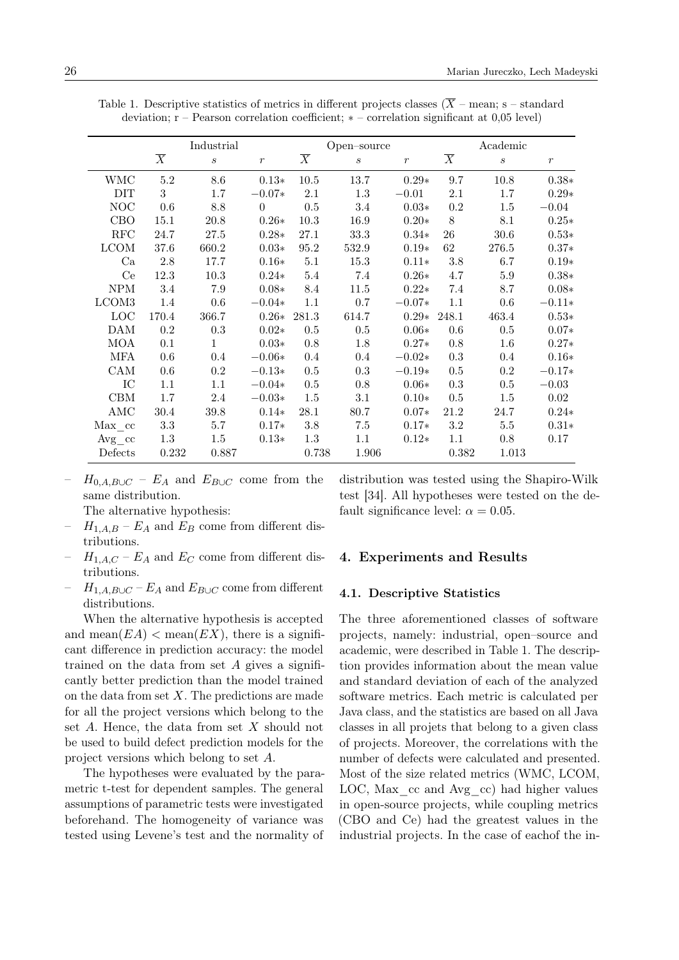|             |                | Industrial                  |                  |                | Open-source      |               |                | Academic         |                  |
|-------------|----------------|-----------------------------|------------------|----------------|------------------|---------------|----------------|------------------|------------------|
|             | $\overline{X}$ | $\mathcal{S}_{\mathcal{S}}$ | $\boldsymbol{r}$ | $\overline{X}$ | $\boldsymbol{s}$ | $\mathcal{r}$ | $\overline{X}$ | $\boldsymbol{s}$ | $\boldsymbol{r}$ |
| WMC         | 5.2            | 8.6                         | $0.13*$          | 10.5           | 13.7             | $0.29*$       | 9.7            | 10.8             | $0.38*$          |
| DIT         | 3              | 1.7                         | $-0.07*$         | $2.1\,$        | $1.3\,$          | $-0.01$       | $2.1\,$        | 1.7              | $0.29*$          |
| NOC         | 0.6            | 8.8                         | $\Omega$         | $0.5\,$        | 3.4              | $0.03*$       | 0.2            | $1.5\,$          | $-0.04$          |
| CBO         | 15.1           | 20.8                        | $0.26*$          | 10.3           | 16.9             | $0.20*$       | $8\,$          | 8.1              | $0.25*$          |
| RFC         | 24.7           | 27.5                        | $0.28*$          | 27.1           | $33.3\,$         | $0.34*$       | $26\,$         | $30.6\,$         | $0.53*$          |
| <b>LCOM</b> | 37.6           | 660.2                       | $0.03*$          | 95.2           | 532.9            | $0.19*$       | 62             | 276.5            | $0.37*$          |
| Ca          | 2.8            | 17.7                        | $0.16*$          | 5.1            | 15.3             | $0.11*$       | 3.8            | 6.7              | $0.19*$          |
| Ce          | 12.3           | 10.3                        | $0.24*$          | $5.4\,$        | 7.4              | $0.26*$       | 4.7            | $5.9\,$          | $0.38*$          |
| ${\rm NPM}$ | 3.4            | 7.9                         | $0.08*$          | 8.4            | 11.5             | $0.22*$       | 7.4            | 8.7              | $0.08*$          |
| LCOM3       | $1.4\,$        | $0.6\,$                     | $-0.04*$         | $1.1\,$        | 0.7              | $-0.07*$      | 1.1            | $0.6\,$          | $-0.11*$         |
| <b>LOC</b>  | 170.4          | 366.7                       | $0.26*$          | 281.3          | 614.7            | $0.29* 248.1$ |                | 463.4            | $0.53*$          |
| <b>DAM</b>  | 0.2            | 0.3                         | $0.02*$          | 0.5            | 0.5              | $0.06*$       | 0.6            | 0.5              | $0.07*$          |
| <b>MOA</b>  | 0.1            | $\mathbf{1}$                | $0.03*$          | $0.8\,$        | $1.8\,$          | $0.27*$       | 0.8            | 1.6              | $0.27*$          |
| MFA         | 0.6            | $0.4\,$                     | $-0.06*$         | 0.4            | $0.4\,$          | $-0.02*$      | $\rm 0.3$      | $0.4\,$          | $0.16*$          |
| CAM         | $0.6\,$        | $\rm 0.2$                   | $-0.13*$         | $0.5\,$        | $0.3\,$          | $-0.19*$      | 0.5            | $0.2\,$          | $-0.17*$         |
| IC          | $1.1\,$        | 1.1                         | $-0.04*$         | $0.5\,$        | 0.8              | $0.06*$       | $\rm 0.3$      | $0.5\,$          | $-0.03$          |
| CBM         | 1.7            | 2.4                         | $-0.03*$         | 1.5            | 3.1              | $0.10*$       | 0.5            | 1.5              | 0.02             |
| AMC         | 30.4           | 39.8                        | $0.14*$          | 28.1           | 80.7             | $0.07*$       | 21.2           | 24.7             | $0.24*$          |
| Max cc      | 3.3            | 5.7                         | $0.17*$          | 3.8            | 7.5              | $0.17*$       | 3.2            | $5.5\,$          | $0.31*$          |
| Avg cc      | $1.3\,$        | 1.5                         | $0.13*$          | $1.3\,$        | 1.1              | $0.12*$       | 1.1            | 0.8              | 0.17             |
| Defects     | 0.232          | 0.887                       |                  | 0.738          | 1.906            |               | 0.382          | 1.013            |                  |

<span id="page-5-0"></span>Table 1. Descriptive statistics of metrics in different projects classes ( $\overline{X}$  – mean; s – standard deviation; r – Pearson correlation coefficient; ∗ – correlation significant at 0,05 level)

 $H_{0,A,B\cup C} - E_A$  and  $E_{B\cup C}$  come from the same distribution.

The alternative hypothesis:

- $H_{1,A,B} E_A$  and  $E_B$  come from different distributions.
- $H_{1,A,C}$   $E_A$  and  $E_C$  come from different distributions.
- $H_{1,A,B\cup C}$   $E_A$  and  $E_{B\cup C}$  come from different distributions.

When the alternative hypothesis is accepted and mean $(EA)$  < mean $(EX)$ , there is a significant difference in prediction accuracy: the model trained on the data from set  $A$  gives a significantly better prediction than the model trained on the data from set  $X$ . The predictions are made for all the project versions which belong to the set A. Hence, the data from set X should not be used to build defect prediction models for the project versions which belong to set A.

The hypotheses were evaluated by the parametric t-test for dependent samples. The general assumptions of parametric tests were investigated beforehand. The homogeneity of variance was tested using Levene's test and the normality of

distribution was tested using the Shapiro-Wilk test [\[34\]](#page-13-17). All hypotheses were tested on the default significance level:  $\alpha = 0.05$ .

## 4. Experiments and Results

#### 4.1. Descriptive Statistics

The three aforementioned classes of software projects, namely: industrial, open–source and academic, were described in Table [1.](#page-5-0) The description provides information about the mean value and standard deviation of each of the analyzed software metrics. Each metric is calculated per Java class, and the statistics are based on all Java classes in all projets that belong to a given class of projects. Moreover, the correlations with the number of defects were calculated and presented. Most of the size related metrics (WMC, LCOM, LOC, Max cc and Avg cc) had higher values in open-source projects, while coupling metrics (CBO and Ce) had the greatest values in the industrial projects. In the case of eachof the in-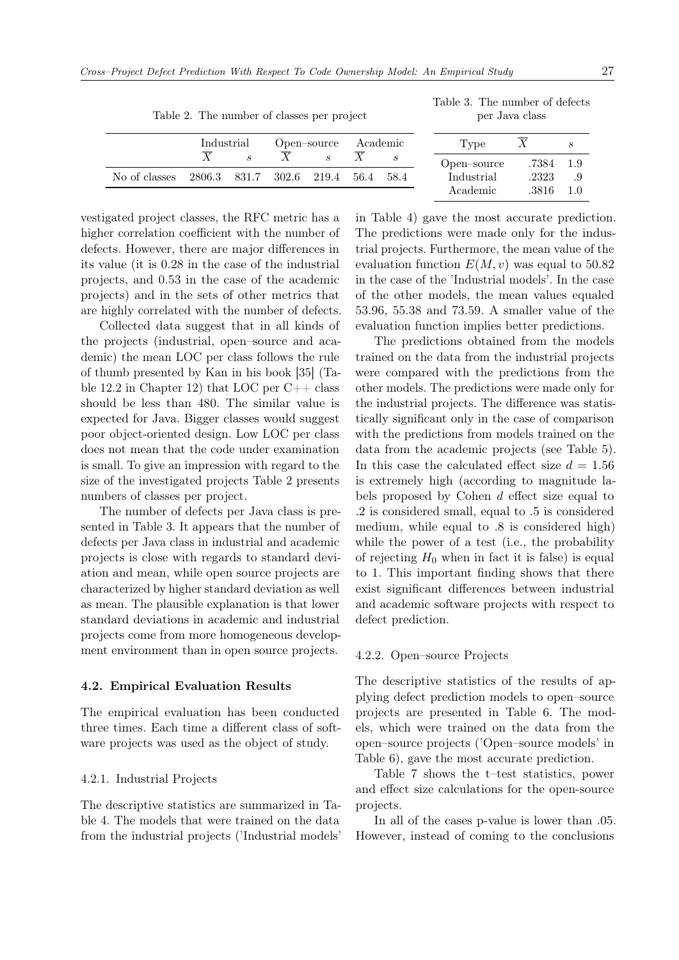|               | Industrial                         |  | Open-source   | Academic | Type        |           |      |
|---------------|------------------------------------|--|---------------|----------|-------------|-----------|------|
|               |                                    |  | $\mathcal{S}$ |          | Open-source | .7384 1.9 |      |
| No of classes | 2806.3 831.7 302.6 219.4 56.4 58.4 |  |               |          | Industrial  | .2323     | - .9 |
|               |                                    |  |               |          | Academic    | .3816     | 1.0  |

<span id="page-6-0"></span>Table 2. The number of classes per project

<span id="page-6-1"></span>Table 3. The number of defects per Java class

| in Table 4) gave the most accurate prediction.      |
|-----------------------------------------------------|
| The predictions were made only for the indus-       |
| trial projects. Furthermore, the mean value of the  |
| evaluation function $E(M, v)$ was equal to 50.82    |
| in the case of the 'Industrial models'. In the case |
| of the other models, the mean values equaled        |
| $53.96, 55.38$ and $73.59$ . A smaller value of the |
| evaluation function implies better predictions.     |

The predictions obtained from the models trained on the data from the industrial projects were compared with the predictions from the other models. The predictions were made only for the industrial projects. The difference was statistically significant only in the case of comparison with the predictions from models trained on the data from the academic projects (see Table [5\)](#page-7-1). In this case the calculated effect size  $d = 1.56$ is extremely high (according to magnitude labels proposed by Cohen  $d$  effect size equal to .2 is considered small, equal to .5 is considered medium, while equal to .8 is considered high) while the power of a test (i.e., the probability of rejecting  $H_0$  when in fact it is false) is equal to 1. This important finding shows that there exist significant differences between industrial and academic software projects with respect to defect prediction.

#### 4.2.2. Open–source Projects

The descriptive statistics of the results of applying defect prediction models to open–source projects are presented in Table [6.](#page-7-2) The models, which were trained on the data from the open–source projects ('Open–source models' in Table [6\)](#page-7-2), gave the most accurate prediction.

Table [7](#page-8-0) shows the t–test statistics, power and effect size calculations for the open-source projects.

In all of the cases p-value is lower than .05. However, instead of coming to the conclusions

vestigated project classes, the RFC metric has a higher correlation coefficient with the number of

defects. However, there are major differences in its value (it is 0.28 in the case of the industrial projects, and 0.53 in the case of the academic projects) and in the sets of other metrics that are highly correlated with the number of defects.

Collected data suggest that in all kinds of the projects (industrial, open–source and academic) the mean LOC per class follows the rule of thumb presented by Kan in his book [\[35\]](#page-13-18) (Table 12.2 in Chapter 12) that LOC per  $C++$  class should be less than 480. The similar value is expected for Java. Bigger classes would suggest poor object-oriented design. Low LOC per class does not mean that the code under examination is small. To give an impression with regard to the size of the investigated projects Table [2](#page-6-0) presents numbers of classes per project.

The number of defects per Java class is presented in Table [3.](#page-6-1) It appears that the number of defects per Java class in industrial and academic projects is close with regards to standard deviation and mean, while open source projects are characterized by higher standard deviation as well as mean. The plausible explanation is that lower standard deviations in academic and industrial projects come from more homogeneous development environment than in open source projects.

#### 4.2. Empirical Evaluation Results

The empirical evaluation has been conducted three times. Each time a different class of software projects was used as the object of study.

#### 4.2.1. Industrial Projects

The descriptive statistics are summarized in Table [4.](#page-7-0) The models that were trained on the data from the industrial projects ('Industrial models'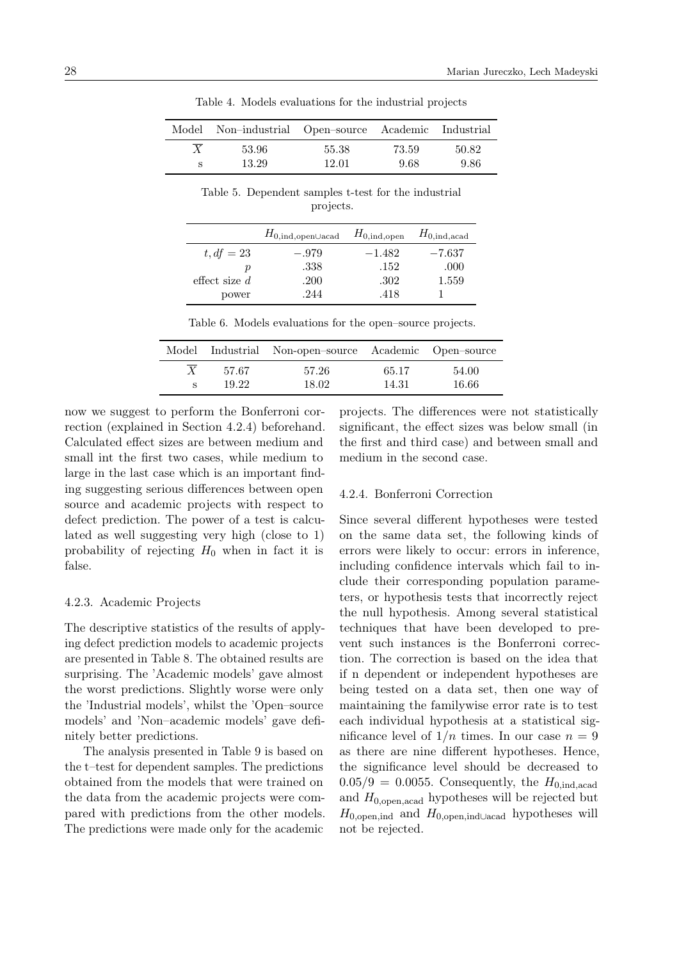|                  | Model Non-industrial Open-source Academic Industrial |       |       |       |
|------------------|------------------------------------------------------|-------|-------|-------|
| $\boldsymbol{X}$ | 53.96                                                | 55.38 | 73.59 | 50.82 |
|                  | 13.29                                                | 12.01 | -9.68 | 9.86  |

<span id="page-7-0"></span>Table 4. Models evaluations for the industrial projects

<span id="page-7-1"></span>Table 5. Dependent samples t-test for the industrial projects.

|                 | $H_{0,\text{ind},\text{open} \cup \text{acad}}$ | $H_{0,\text{ind,open}}$ | $H_{0,\mathrm{ind},\mathrm{acad}}$ |
|-----------------|-------------------------------------------------|-------------------------|------------------------------------|
| $t, df = 23$    | $-.979$                                         | $-1.482$                | $-7.637$                           |
| D               | .338                                            | .152                    | .000                               |
| effect size $d$ | .200                                            | .302                    | 1.559                              |
| power           | 244                                             | .418                    |                                    |

<span id="page-7-2"></span>Table 6. Models evaluations for the open–source projects.

|   |                | Model Industrial Non-open-source Academic Open-source |                |                |
|---|----------------|-------------------------------------------------------|----------------|----------------|
| X | 57.67<br>19.22 | 57.26<br>18.02                                        | 65.17<br>14.31 | 54.00<br>16.66 |
|   |                |                                                       |                |                |

now we suggest to perform the Bonferroni correction (explained in Section [4.2.4\)](#page-7-3) beforehand. Calculated effect sizes are between medium and small int the first two cases, while medium to large in the last case which is an important finding suggesting serious differences between open source and academic projects with respect to defect prediction. The power of a test is calculated as well suggesting very high (close to 1) probability of rejecting  $H_0$  when in fact it is false.

#### 4.2.3. Academic Projects

The descriptive statistics of the results of applying defect prediction models to academic projects are presented in Table [8.](#page-8-1) The obtained results are surprising. The 'Academic models' gave almost the worst predictions. Slightly worse were only the 'Industrial models', whilst the 'Open–source models' and 'Non–academic models' gave definitely better predictions.

The analysis presented in Table [9](#page-8-2) is based on the t–test for dependent samples. The predictions obtained from the models that were trained on the data from the academic projects were compared with predictions from the other models. The predictions were made only for the academic

projects. The differences were not statistically significant, the effect sizes was below small (in the first and third case) and between small and medium in the second case.

## <span id="page-7-3"></span>4.2.4. Bonferroni Correction

Since several different hypotheses were tested on the same data set, the following kinds of errors were likely to occur: errors in inference, including confidence intervals which fail to include their corresponding population parameters, or hypothesis tests that incorrectly reject the null hypothesis. Among several statistical techniques that have been developed to prevent such instances is the Bonferroni correction. The correction is based on the idea that if n dependent or independent hypotheses are being tested on a data set, then one way of maintaining the familywise error rate is to test each individual hypothesis at a statistical significance level of  $1/n$  times. In our case  $n = 9$ as there are nine different hypotheses. Hence, the significance level should be decreased to  $0.05/9 = 0.0055$ . Consequently, the  $H_{0.1}$ <sub>nd,acad</sub> and  $H_{0,\text{open},\text{acad}}$  hypotheses will be rejected but  $H_{0,\text{open},\text{ind}}$  and  $H_{0,\text{open},\text{ind}\cup \text{local}}$  hypotheses will not be rejected.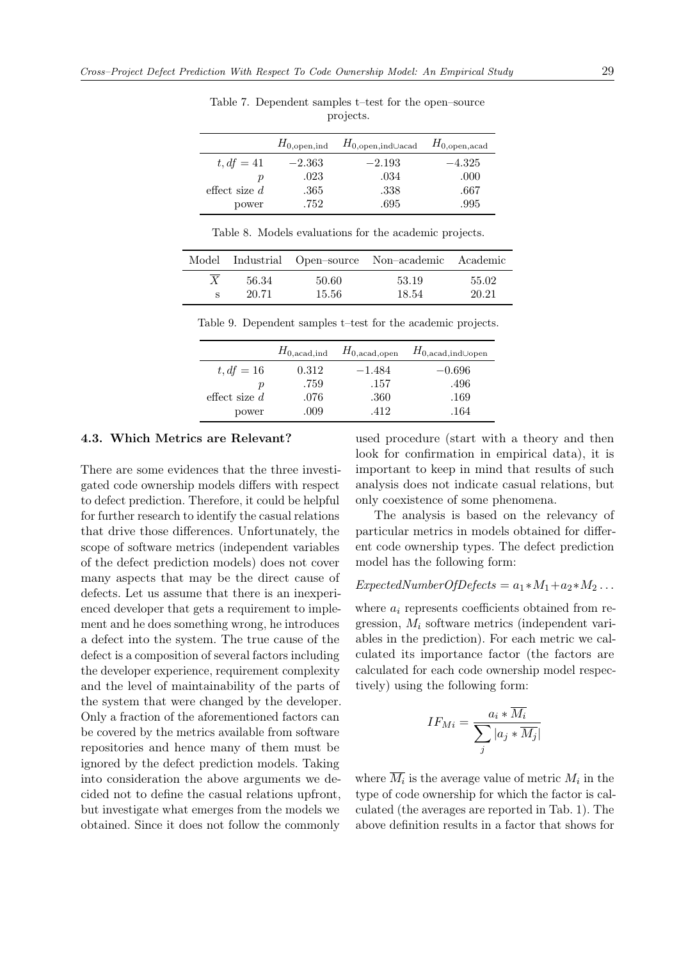|                 | $H_{0,\text{open},\text{ind}}$ | $H_{0,\text{open},\text{indUacad}}$ | $H_{0,\text{open},\text{acad}}$ |
|-----------------|--------------------------------|-------------------------------------|---------------------------------|
| $t, df = 41$    | $-2.363$                       | $-2.193$                            | $-4.325$                        |
| р               | .023                           | .034                                | .000                            |
| effect size $d$ | .365                           | .338                                | .667                            |
| power           | .752                           | .695                                | .995                            |

<span id="page-8-0"></span>Table 7. Dependent samples t–test for the open–source projects.

<span id="page-8-1"></span>Table 8. Models evaluations for the academic projects.

|                |                | Model Industrial Open-source Non-academic Academic |                |
|----------------|----------------|----------------------------------------------------|----------------|
| 56.34<br>20.71 | 50.60<br>15.56 | 53.19<br>18.54                                     | 55.02<br>20.21 |
|                |                |                                                    |                |

<span id="page-8-2"></span>Table 9. Dependent samples t–test for the academic projects.

|                 | $H_{0,\text{acad},\text{ind}}$ | $H_{0,\text{acad,open}}$ | $H_{0,\text{acad},\text{ind}\cup \text{open}}$ |
|-----------------|--------------------------------|--------------------------|------------------------------------------------|
| $t, df = 16$    | 0.312                          | $-1.484$                 | $-0.696$                                       |
| р               | .759                           | .157                     | .496                                           |
| effect size $d$ | .076                           | .360                     | .169                                           |
| power           | .009                           | 412                      | .164                                           |

#### 4.3. Which Metrics are Relevant?

There are some evidences that the three investigated code ownership models differs with respect to defect prediction. Therefore, it could be helpful for further research to identify the casual relations that drive those differences. Unfortunately, the scope of software metrics (independent variables of the defect prediction models) does not cover many aspects that may be the direct cause of defects. Let us assume that there is an inexperienced developer that gets a requirement to implement and he does something wrong, he introduces a defect into the system. The true cause of the defect is a composition of several factors including the developer experience, requirement complexity and the level of maintainability of the parts of the system that were changed by the developer. Only a fraction of the aforementioned factors can be covered by the metrics available from software repositories and hence many of them must be ignored by the defect prediction models. Taking into consideration the above arguments we decided not to define the casual relations upfront, but investigate what emerges from the models we obtained. Since it does not follow the commonly

used procedure (start with a theory and then look for confirmation in empirical data), it is important to keep in mind that results of such analysis does not indicate casual relations, but only coexistence of some phenomena.

The analysis is based on the relevancy of particular metrics in models obtained for different code ownership types. The defect prediction model has the following form:

## $ExpectedNumberOfDefects = a_1 * M_1 + a_2 * M_2 \dots$

where  $a_i$  represents coefficients obtained from regression,  $M_i$  software metrics (independent variables in the prediction). For each metric we calculated its importance factor (the factors are calculated for each code ownership model respectively) using the following form:

$$
IF_{Mi} = \frac{a_i * M_i}{\sum_j |a_j * \overline{M_j}|}
$$

where  $M_i$  is the average value of metric  $M_i$  in the type of code ownership for which the factor is calculated (the averages are reported in Tab. [1\)](#page-5-0). The above definition results in a factor that shows for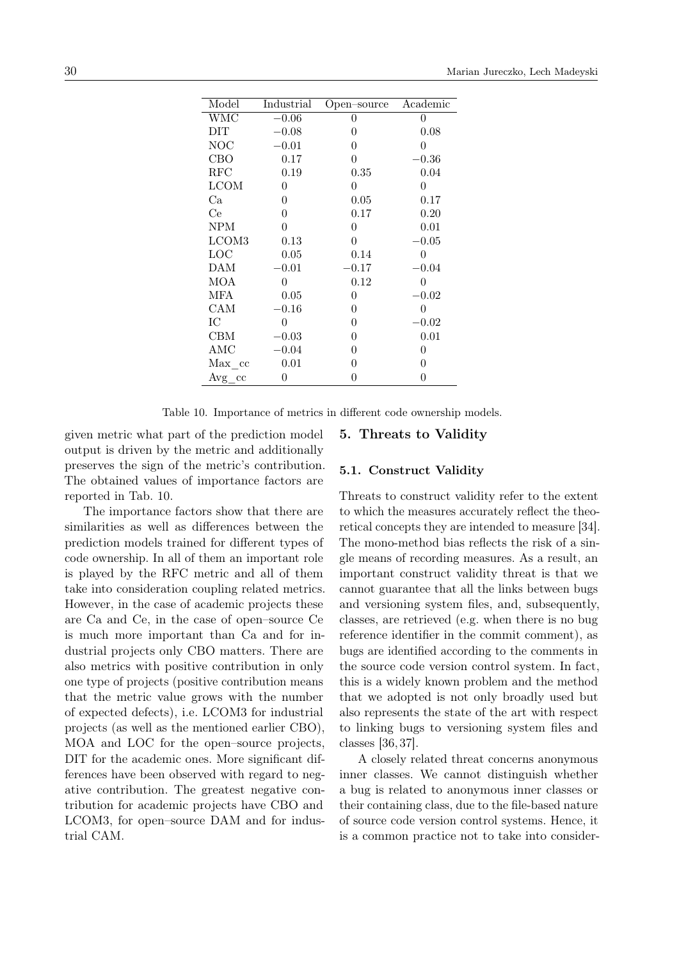| Model       | Industrial | Open-source    | Academic |
|-------------|------------|----------------|----------|
| <b>WMC</b>  | $-0.06$    | 0              | 0        |
| DIT         | $-0.08$    | 0              | 0.08     |
| <b>NOC</b>  | $-0.01$    | 0              | 0        |
| CBO         | 0.17       | $\overline{0}$ | $-0.36$  |
| <b>RFC</b>  | 0.19       | 0.35           | 0.04     |
| <b>LCOM</b> | 0          | $\overline{0}$ | 0        |
| Ca          | 0          | 0.05           | 0.17     |
| Ce          | 0          | 0.17           | 0.20     |
| <b>NPM</b>  | 0          | $\overline{0}$ | 0.01     |
| LCOM3       | 0.13       | $\theta$       | $-0.05$  |
| LOC         | 0.05       | 0.14           | 0        |
| DAM         | 0.01       | -0.17          | 0.04     |
| <b>MOA</b>  | 0          | 0.12           | 0        |
| MFA         | 0.05       | 0              | $-0.02$  |
| CAM         | 0.16       | $\overline{0}$ | 0        |
| IС          | 0          | 0              | -0.02    |
| CBM         | $-0.03$    | $\overline{0}$ | 0.01     |
| AMC         | $-0.04$    | 0              | 0        |
| Max cc      | 0.01       | 0              | 0        |
| $Avg_{c}cc$ | 0          | 0              | 0        |

<span id="page-9-0"></span>Table 10. Importance of metrics in different code ownership models.

given metric what part of the prediction model output is driven by the metric and additionally preserves the sign of the metric's contribution. The obtained values of importance factors are reported in Tab. [10.](#page-9-0)

The importance factors show that there are similarities as well as differences between the prediction models trained for different types of code ownership. In all of them an important role is played by the RFC metric and all of them take into consideration coupling related metrics. However, in the case of academic projects these are Ca and Ce, in the case of open–source Ce is much more important than Ca and for industrial projects only CBO matters. There are also metrics with positive contribution in only one type of projects (positive contribution means that the metric value grows with the number of expected defects), i.e. LCOM3 for industrial projects (as well as the mentioned earlier CBO), MOA and LOC for the open–source projects, DIT for the academic ones. More significant differences have been observed with regard to negative contribution. The greatest negative contribution for academic projects have CBO and LCOM3, for open–source DAM and for industrial CAM.

## 5. Threats to Validity

## 5.1. Construct Validity

Threats to construct validity refer to the extent to which the measures accurately reflect the theoretical concepts they are intended to measure [\[34\]](#page-13-17). The mono-method bias reflects the risk of a single means of recording measures. As a result, an important construct validity threat is that we cannot guarantee that all the links between bugs and versioning system files, and, subsequently, classes, are retrieved (e.g. when there is no bug reference identifier in the commit comment), as bugs are identified according to the comments in the source code version control system. In fact, this is a widely known problem and the method that we adopted is not only broadly used but also represents the state of the art with respect to linking bugs to versioning system files and classes [\[36,](#page-13-19) [37\]](#page-13-20).

A closely related threat concerns anonymous inner classes. We cannot distinguish whether a bug is related to anonymous inner classes or their containing class, due to the file-based nature of source code version control systems. Hence, it is a common practice not to take into consider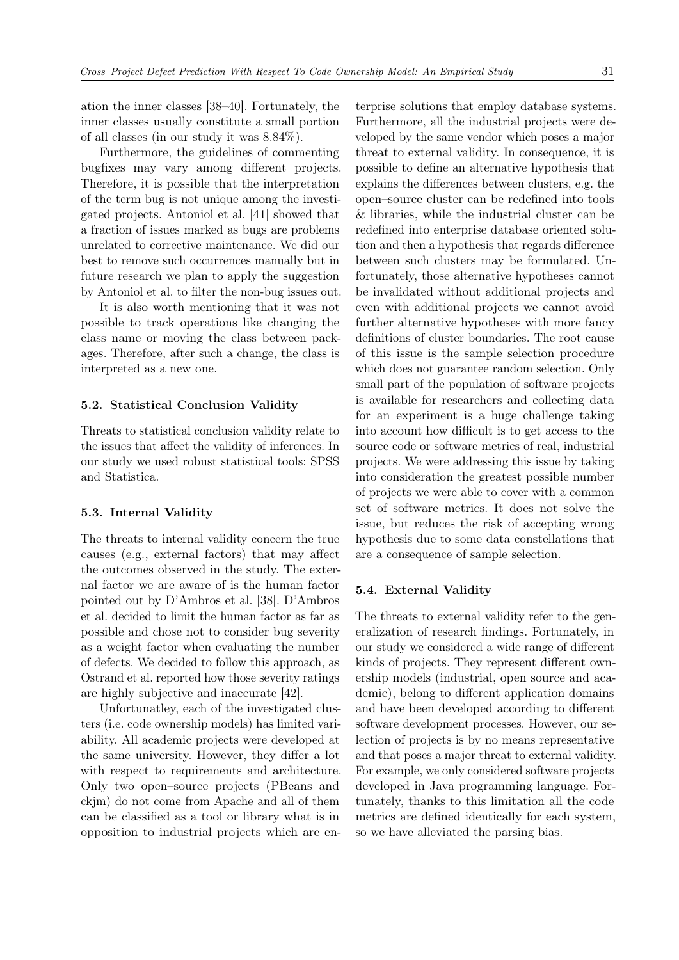ation the inner classes [\[38–](#page-13-21)[40\]](#page-13-22). Fortunately, the inner classes usually constitute a small portion of all classes (in our study it was 8.84%).

Furthermore, the guidelines of commenting bugfixes may vary among different projects. Therefore, it is possible that the interpretation of the term bug is not unique among the investigated projects. Antoniol et al. [\[41\]](#page-13-23) showed that a fraction of issues marked as bugs are problems unrelated to corrective maintenance. We did our best to remove such occurrences manually but in future research we plan to apply the suggestion by Antoniol et al. to filter the non-bug issues out.

It is also worth mentioning that it was not possible to track operations like changing the class name or moving the class between packages. Therefore, after such a change, the class is interpreted as a new one.

#### 5.2. Statistical Conclusion Validity

Threats to statistical conclusion validity relate to the issues that affect the validity of inferences. In our study we used robust statistical tools: SPSS and Statistica.

#### 5.3. Internal Validity

The threats to internal validity concern the true causes (e.g., external factors) that may affect the outcomes observed in the study. The external factor we are aware of is the human factor pointed out by D'Ambros et al. [\[38\]](#page-13-21). D'Ambros et al. decided to limit the human factor as far as possible and chose not to consider bug severity as a weight factor when evaluating the number of defects. We decided to follow this approach, as Ostrand et al. reported how those severity ratings are highly subjective and inaccurate [\[42\]](#page-13-24).

Unfortunatley, each of the investigated clusters (i.e. code ownership models) has limited variability. All academic projects were developed at the same university. However, they differ a lot with respect to requirements and architecture. Only two open–source projects (PBeans and ckjm) do not come from Apache and all of them can be classified as a tool or library what is in opposition to industrial projects which are enterprise solutions that employ database systems. Furthermore, all the industrial projects were developed by the same vendor which poses a major threat to external validity. In consequence, it is possible to define an alternative hypothesis that explains the differences between clusters, e.g. the open–source cluster can be redefined into tools & libraries, while the industrial cluster can be redefined into enterprise database oriented solution and then a hypothesis that regards difference between such clusters may be formulated. Unfortunately, those alternative hypotheses cannot be invalidated without additional projects and even with additional projects we cannot avoid further alternative hypotheses with more fancy definitions of cluster boundaries. The root cause of this issue is the sample selection procedure which does not guarantee random selection. Only small part of the population of software projects is available for researchers and collecting data for an experiment is a huge challenge taking into account how difficult is to get access to the source code or software metrics of real, industrial projects. We were addressing this issue by taking into consideration the greatest possible number of projects we were able to cover with a common set of software metrics. It does not solve the issue, but reduces the risk of accepting wrong hypothesis due to some data constellations that are a consequence of sample selection.

#### 5.4. External Validity

The threats to external validity refer to the generalization of research findings. Fortunately, in our study we considered a wide range of different kinds of projects. They represent different ownership models (industrial, open source and academic), belong to different application domains and have been developed according to different software development processes. However, our selection of projects is by no means representative and that poses a major threat to external validity. For example, we only considered software projects developed in Java programming language. Fortunately, thanks to this limitation all the code metrics are defined identically for each system, so we have alleviated the parsing bias.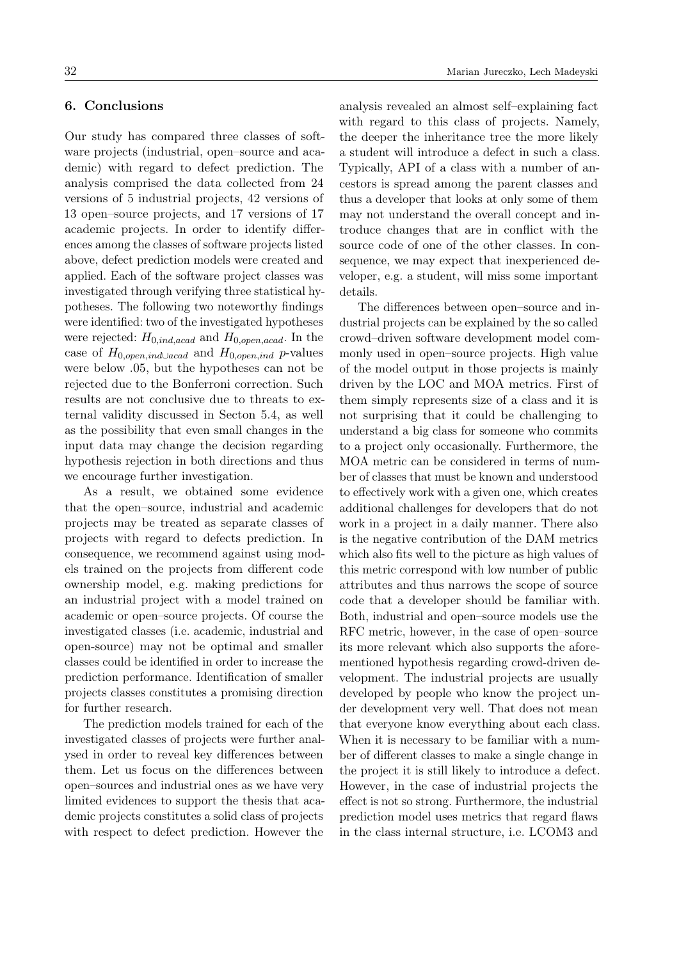# 6. Conclusions

Our study has compared three classes of software projects (industrial, open–source and academic) with regard to defect prediction. The analysis comprised the data collected from 24 versions of 5 industrial projects, 42 versions of 13 open–source projects, and 17 versions of 17 academic projects. In order to identify differences among the classes of software projects listed above, defect prediction models were created and applied. Each of the software project classes was investigated through verifying three statistical hypotheses. The following two noteworthy findings were identified: two of the investigated hypotheses were rejected:  $H_{0,ind,acad}$  and  $H_{0,open,acad}$ . In the case of  $H_{0,open,ind\cup acad}$  and  $H_{0,open,ind}$  p-values were below .05, but the hypotheses can not be rejected due to the Bonferroni correction. Such results are not conclusive due to threats to external validity discussed in Secton 5.4, as well as the possibility that even small changes in the input data may change the decision regarding hypothesis rejection in both directions and thus we encourage further investigation.

As a result, we obtained some evidence that the open–source, industrial and academic projects may be treated as separate classes of projects with regard to defects prediction. In consequence, we recommend against using models trained on the projects from different code ownership model, e.g. making predictions for an industrial project with a model trained on academic or open–source projects. Of course the investigated classes (i.e. academic, industrial and open-source) may not be optimal and smaller classes could be identified in order to increase the prediction performance. Identification of smaller projects classes constitutes a promising direction for further research.

The prediction models trained for each of the investigated classes of projects were further analysed in order to reveal key differences between them. Let us focus on the differences between open–sources and industrial ones as we have very limited evidences to support the thesis that academic projects constitutes a solid class of projects with respect to defect prediction. However the

analysis revealed an almost self–explaining fact with regard to this class of projects. Namely, the deeper the inheritance tree the more likely a student will introduce a defect in such a class. Typically, API of a class with a number of ancestors is spread among the parent classes and thus a developer that looks at only some of them may not understand the overall concept and introduce changes that are in conflict with the source code of one of the other classes. In consequence, we may expect that inexperienced developer, e.g. a student, will miss some important details.

The differences between open–source and industrial projects can be explained by the so called crowd–driven software development model commonly used in open–source projects. High value of the model output in those projects is mainly driven by the LOC and MOA metrics. First of them simply represents size of a class and it is not surprising that it could be challenging to understand a big class for someone who commits to a project only occasionally. Furthermore, the MOA metric can be considered in terms of number of classes that must be known and understood to effectively work with a given one, which creates additional challenges for developers that do not work in a project in a daily manner. There also is the negative contribution of the DAM metrics which also fits well to the picture as high values of this metric correspond with low number of public attributes and thus narrows the scope of source code that a developer should be familiar with. Both, industrial and open–source models use the RFC metric, however, in the case of open–source its more relevant which also supports the aforementioned hypothesis regarding crowd-driven development. The industrial projects are usually developed by people who know the project under development very well. That does not mean that everyone know everything about each class. When it is necessary to be familiar with a number of different classes to make a single change in the project it is still likely to introduce a defect. However, in the case of industrial projects the effect is not so strong. Furthermore, the industrial prediction model uses metrics that regard flaws in the class internal structure, i.e. LCOM3 and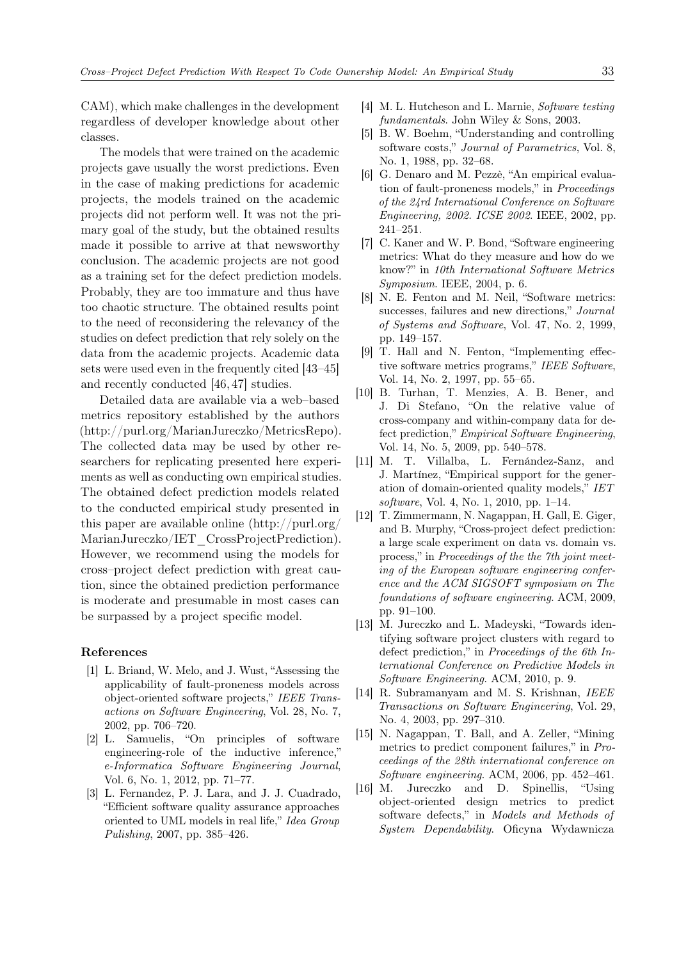CAM), which make challenges in the development regardless of developer knowledge about other classes.

The models that were trained on the academic projects gave usually the worst predictions. Even in the case of making predictions for academic projects, the models trained on the academic projects did not perform well. It was not the primary goal of the study, but the obtained results made it possible to arrive at that newsworthy conclusion. The academic projects are not good as a training set for the defect prediction models. Probably, they are too immature and thus have too chaotic structure. The obtained results point to the need of reconsidering the relevancy of the studies on defect prediction that rely solely on the data from the academic projects. Academic data sets were used even in the frequently cited [\[43–](#page-14-1)[45\]](#page-14-2) and recently conducted [\[46,](#page-14-3) [47\]](#page-14-4) studies.

Detailed data are available via a web–based metrics repository established by the authors [\(http://purl.org/MarianJureczko/MetricsRepo\)](http:// purl.org/MarianJureczko/MetricsRepo). The collected data may be used by other researchers for replicating presented here experiments as well as conducting own empirical studies. The obtained defect prediction models related to the conducted empirical study presented in this paper are available online [\(http://purl.org/](http://purl.org/MarianJureczko/IET_CrossProjectPrediction) [MarianJureczko/IET\\_CrossProjectPrediction\)](http://purl.org/MarianJureczko/IET_CrossProjectPrediction). However, we recommend using the models for cross–project defect prediction with great caution, since the obtained prediction performance is moderate and presumable in most cases can be surpassed by a project specific model.

#### References

- <span id="page-12-0"></span>[1] L. Briand, W. Melo, and J. Wust, "Assessing the applicability of fault-proneness models across object-oriented software projects," IEEE Transactions on Software Engineering, Vol. 28, No. 7, 2002, pp. 706–720.
- <span id="page-12-1"></span>[2] L. Samuelis, "On principles of software engineering-role of the inductive inference," e-Informatica Software Engineering Journal, Vol. 6, No. 1, 2012, pp. 71–77.
- <span id="page-12-2"></span>[3] L. Fernandez, P. J. Lara, and J. J. Cuadrado, "Efficient software quality assurance approaches oriented to UML models in real life," Idea Group Pulishing, 2007, pp. 385–426.
- <span id="page-12-3"></span>[4] M. L. Hutcheson and L. Marnie, Software testing fundamentals. John Wiley & Sons, 2003.
- <span id="page-12-4"></span>[5] B. W. Boehm, "Understanding and controlling software costs," Journal of Parametrics, Vol. 8, No. 1, 1988, pp. 32–68.
- <span id="page-12-5"></span>[6] G. Denaro and M. Pezzè, "An empirical evaluation of fault-proneness models," in Proceedings of the 24rd International Conference on Software Engineering, 2002. ICSE 2002. IEEE, 2002, pp. 241–251.
- <span id="page-12-6"></span>[7] C. Kaner and W. P. Bond, "Software engineering metrics: What do they measure and how do we know?" in 10th International Software Metrics Symposium. IEEE, 2004, p. 6.
- <span id="page-12-7"></span>[8] N. E. Fenton and M. Neil, "Software metrics: successes, failures and new directions," Journal of Systems and Software, Vol. 47, No. 2, 1999, pp. 149–157.
- <span id="page-12-8"></span>[9] T. Hall and N. Fenton, "Implementing effective software metrics programs," IEEE Software, Vol. 14, No. 2, 1997, pp. 55–65.
- <span id="page-12-9"></span>[10] B. Turhan, T. Menzies, A. B. Bener, and J. Di Stefano, "On the relative value of cross-company and within-company data for defect prediction," Empirical Software Engineering, Vol. 14, No. 5, 2009, pp. 540–578.
- <span id="page-12-10"></span>[11] M. T. Villalba, L. Fernández-Sanz, and J. Martínez, "Empirical support for the generation of domain-oriented quality models," IET software, Vol. 4, No. 1, 2010, pp. 1–14.
- <span id="page-12-11"></span>[12] T. Zimmermann, N. Nagappan, H. Gall, E. Giger, and B. Murphy, "Cross-project defect prediction: a large scale experiment on data vs. domain vs. process," in Proceedings of the the 7th joint meeting of the European software engineering conference and the ACM SIGSOFT symposium on The foundations of software engineering. ACM, 2009, pp. 91–100.
- <span id="page-12-12"></span>[13] M. Jureczko and L. Madeyski, "Towards identifying software project clusters with regard to defect prediction," in Proceedings of the 6th International Conference on Predictive Models in Software Engineering. ACM, 2010, p. 9.
- <span id="page-12-13"></span>[14] R. Subramanyam and M. S. Krishnan, IEEE Transactions on Software Engineering, Vol. 29, No. 4, 2003, pp. 297–310.
- <span id="page-12-14"></span>[15] N. Nagappan, T. Ball, and A. Zeller, "Mining metrics to predict component failures," in Proceedings of the 28th international conference on Software engineering. ACM, 2006, pp. 452–461.
- <span id="page-12-15"></span>[16] M. Jureczko and D. Spinellis, "Using object-oriented design metrics to predict software defects," in Models and Methods of System Dependability. Oficyna Wydawnicza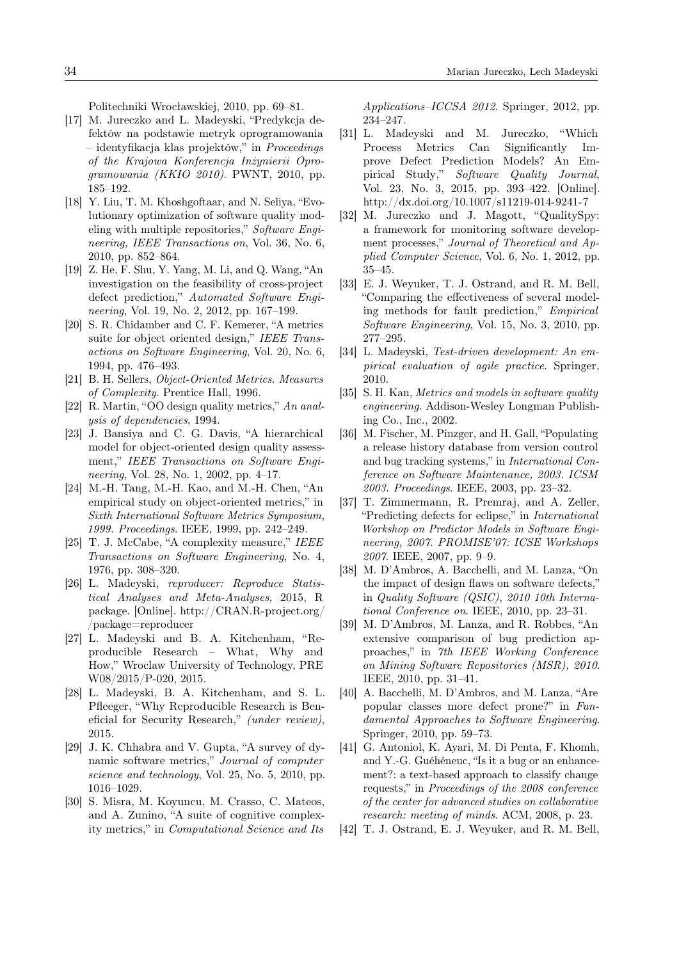Politechniki Wrocławskiej, 2010, pp. 69–81.

- <span id="page-13-0"></span>[17] M. Jureczko and L. Madeyski, "Predykcja defektów na podstawie metryk oprogramowania – identyfikacja klas projektów," in Proceedings of the Krajowa Konferencja Inżynierii Oprogramowania (KKIO 2010). PWNT, 2010, pp. 185–192.
- <span id="page-13-1"></span>[18] Y. Liu, T. M. Khoshgoftaar, and N. Seliya, "Evolutionary optimization of software quality modeling with multiple repositories," Software Engineering, IEEE Transactions on, Vol. 36, No. 6, 2010, pp. 852–864.
- <span id="page-13-2"></span>[19] Z. He, F. Shu, Y. Yang, M. Li, and Q. Wang, "An investigation on the feasibility of cross-project defect prediction," Automated Software Engineering, Vol. 19, No. 2, 2012, pp. 167–199.
- <span id="page-13-3"></span>[20] S. R. Chidamber and C. F. Kemerer, "A metrics suite for object oriented design," IEEE Transactions on Software Engineering, Vol. 20, No. 6, 1994, pp. 476–493.
- <span id="page-13-4"></span>[21] B. H. Sellers, Object-Oriented Metrics. Measures of Complexity. Prentice Hall, 1996.
- <span id="page-13-5"></span>[22] R. Martin, "OO design quality metrics," An analysis of dependencies, 1994.
- <span id="page-13-6"></span>[23] J. Bansiya and C. G. Davis, "A hierarchical model for object-oriented design quality assessment," IEEE Transactions on Software Engineering, Vol. 28, No. 1, 2002, pp. 4–17.
- <span id="page-13-7"></span>[24] M.-H. Tang, M.-H. Kao, and M.-H. Chen, "An empirical study on object-oriented metrics," in Sixth International Software Metrics Symposium, 1999. Proceedings. IEEE, 1999, pp. 242–249.
- <span id="page-13-8"></span>[25] T. J. McCabe, "A complexity measure," IEEE Transactions on Software Engineering, No. 4, 1976, pp. 308–320.
- <span id="page-13-9"></span>[26] L. Madeyski, reproducer: Reproduce Statistical Analyses and Meta-Analyses, 2015, R package. [Online]. [http://CRAN.R-project.org/](http://CRAN.R-project.org//package=reproducer) [/package=reproducer](http://CRAN.R-project.org//package=reproducer)
- <span id="page-13-10"></span>[27] L. Madeyski and B. A. Kitchenham, "Reproducible Research – What, Why and How," Wroclaw University of Technology, PRE W08/2015/P-020, 2015.
- <span id="page-13-11"></span>[28] L. Madeyski, B. A. Kitchenham, and S. L. Pfleeger, "Why Reproducible Research is Beneficial for Security Research," (under review), 2015.
- <span id="page-13-12"></span>[29] J. K. Chhabra and V. Gupta, "A survey of dynamic software metrics," Journal of computer science and technology, Vol. 25, No. 5, 2010, pp. 1016–1029.
- <span id="page-13-13"></span>[30] S. Misra, M. Koyuncu, M. Crasso, C. Mateos, and A. Zunino, "A suite of cognitive complexity metrics," in Computational Science and Its

Applications–ICCSA 2012. Springer, 2012, pp. 234–247.

- <span id="page-13-14"></span>[31] L. Madeyski and M. Jureczko, "Which Process Metrics Can Significantly Improve Defect Prediction Models? An Empirical Study," Software Quality Journal, Vol. 23, No. 3, 2015, pp. 393–422. [Online]. <http://dx.doi.org/10.1007/s11219-014-9241-7>
- <span id="page-13-15"></span>[32] M. Jureczko and J. Magott, "QualitySpy: a framework for monitoring software development processes," Journal of Theoretical and Applied Computer Science, Vol. 6, No. 1, 2012, pp. 35–45.
- <span id="page-13-16"></span>[33] E. J. Weyuker, T. J. Ostrand, and R. M. Bell, "Comparing the effectiveness of several modeling methods for fault prediction," Empirical Software Engineering, Vol. 15, No. 3, 2010, pp. 277–295.
- <span id="page-13-17"></span>[34] L. Madeyski, Test-driven development: An empirical evaluation of agile practice. Springer, 2010.
- <span id="page-13-18"></span>[35] S. H. Kan, Metrics and models in software quality engineering. Addison-Wesley Longman Publishing Co., Inc., 2002.
- <span id="page-13-19"></span>[36] M. Fischer, M. Pinzger, and H. Gall, "Populating a release history database from version control and bug tracking systems," in International Conference on Software Maintenance, 2003. ICSM 2003. Proceedings. IEEE, 2003, pp. 23–32.
- <span id="page-13-20"></span>[37] T. Zimmermann, R. Premraj, and A. Zeller, "Predicting defects for eclipse," in International Workshop on Predictor Models in Software Engineering, 2007. PROMISE'07: ICSE Workshops 2007. IEEE, 2007, pp. 9–9.
- <span id="page-13-21"></span>[38] M. D'Ambros, A. Bacchelli, and M. Lanza, "On the impact of design flaws on software defects," in Quality Software (QSIC), 2010 10th International Conference on. IEEE, 2010, pp. 23–31.
- [39] M. D'Ambros, M. Lanza, and R. Robbes, "An extensive comparison of bug prediction approaches," in 7th IEEE Working Conference on Mining Software Repositories (MSR), 2010. IEEE, 2010, pp. 31–41.
- <span id="page-13-22"></span>[40] A. Bacchelli, M. D'Ambros, and M. Lanza, "Are popular classes more defect prone?" in Fundamental Approaches to Software Engineering. Springer, 2010, pp. 59–73.
- <span id="page-13-23"></span>[41] G. Antoniol, K. Ayari, M. Di Penta, F. Khomh, and Y.-G. Guéhéneuc, "Is it a bug or an enhancement?: a text-based approach to classify change requests," in Proceedings of the 2008 conference of the center for advanced studies on collaborative research: meeting of minds. ACM, 2008, p. 23.
- <span id="page-13-24"></span>[42] T. J. Ostrand, E. J. Weyuker, and R. M. Bell,